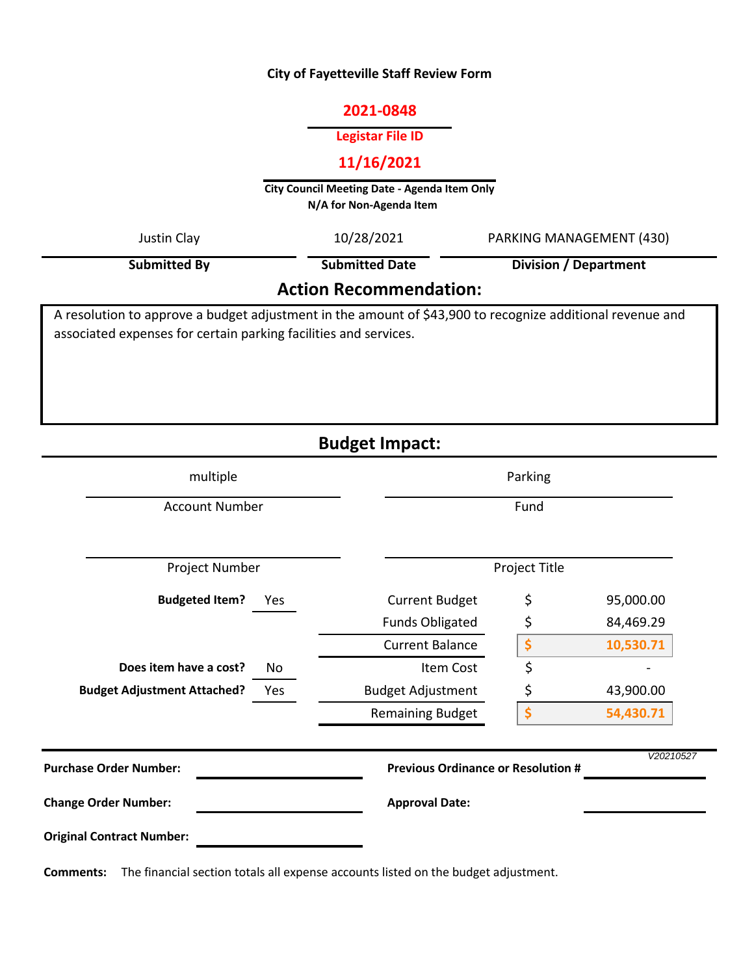## **City of Fayetteville Staff Review Form**

## **2021-0848**

# **Legistar File ID**

# **11/16/2021**

**City Council Meeting Date - Agenda Item Only N/A for Non-Agenda Item** 

| Justin Clay                                                                                                                                                                   | 10/28/2021            | PARKING MANAGEMENT (430) |  |  |
|-------------------------------------------------------------------------------------------------------------------------------------------------------------------------------|-----------------------|--------------------------|--|--|
| <b>Submitted By</b>                                                                                                                                                           | <b>Submitted Date</b> | Division / Department    |  |  |
| <b>Action Recommendation:</b>                                                                                                                                                 |                       |                          |  |  |
| A resolution to approve a budget adjustment in the amount of \$43,900 to recognize additional revenue and<br>associated expenses for certain parking facilities and services. |                       |                          |  |  |

**Budget Impact:**

| multiple                                  | Parking                                   |               |           |
|-------------------------------------------|-------------------------------------------|---------------|-----------|
| <b>Account Number</b>                     | Fund                                      |               |           |
| Project Number                            |                                           | Project Title |           |
| <b>Budgeted Item?</b><br>Yes              | <b>Current Budget</b>                     | \$            | 95,000.00 |
|                                           | <b>Funds Obligated</b>                    | \$            | 84,469.29 |
|                                           | <b>Current Balance</b>                    | \$            | 10,530.71 |
| Does item have a cost?<br>No              | Item Cost                                 | \$            |           |
| <b>Budget Adjustment Attached?</b><br>Yes | <b>Budget Adjustment</b>                  | \$            | 43,900.00 |
|                                           | <b>Remaining Budget</b>                   | \$            | 54,430.71 |
| <b>Purchase Order Number:</b>             | <b>Previous Ordinance or Resolution #</b> |               | V20210527 |
| <b>Change Order Number:</b>               | <b>Approval Date:</b>                     |               |           |
| <b>Original Contract Number:</b>          |                                           |               |           |

**Comments:** The financial section totals all expense accounts listed on the budget adjustment.